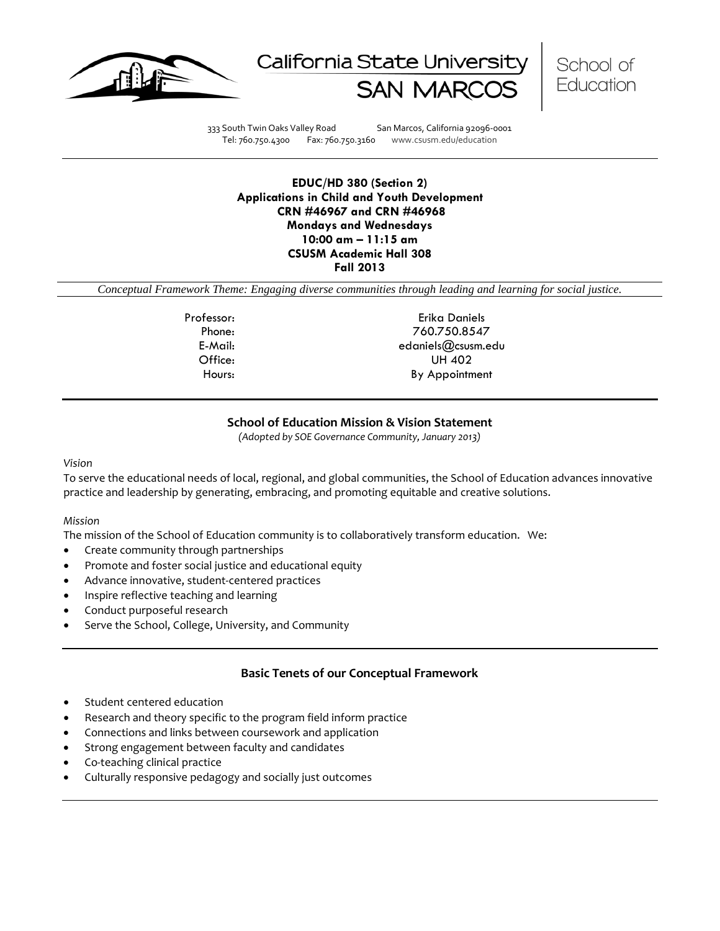





333 South Twin Oaks Valley Road San Marcos, California 92096-0001 Tel: 760.750.4300 Fax: 760.750.3160 www.csusm.edu/education

**EDUC/HD 380 (Section 2) Applications in Child and Youth Development CRN #46967 and CRN #46968 Mondays and Wednesdays 10:00 am – 11:15 am CSUSM Academic Hall 308 Fall 2013** 

*Conceptual Framework Theme: Engaging diverse communities through leading and learning for social justice.*

Professor: Erika Daniels Phone: 760.750.8547 E-Mail: edaniels@csusm.edu Office: UH 402 Hours: By Appointment

### **School of Education Mission & Vision Statement**

*(Adopted by SOE Governance Community, January 2013)*

#### *Vision*

To serve the educational needs of local, regional, and global communities, the School of Education advances innovative practice and leadership by generating, embracing, and promoting equitable and creative solutions.

#### *Mission*

The mission of the School of Education community is to collaboratively transform education. We:

- Create community through partnerships
- Promote and foster social justice and educational equity
- Advance innovative, student-centered practices
- Inspire reflective teaching and learning
- Conduct purposeful research
- Serve the School, College, University, and Community

### **Basic Tenets of our Conceptual Framework**

- Student centered education
- Research and theory specific to the program field inform practice
- Connections and links between coursework and application
- Strong engagement between faculty and candidates
- Co-teaching clinical practice
- Culturally responsive pedagogy and socially just outcomes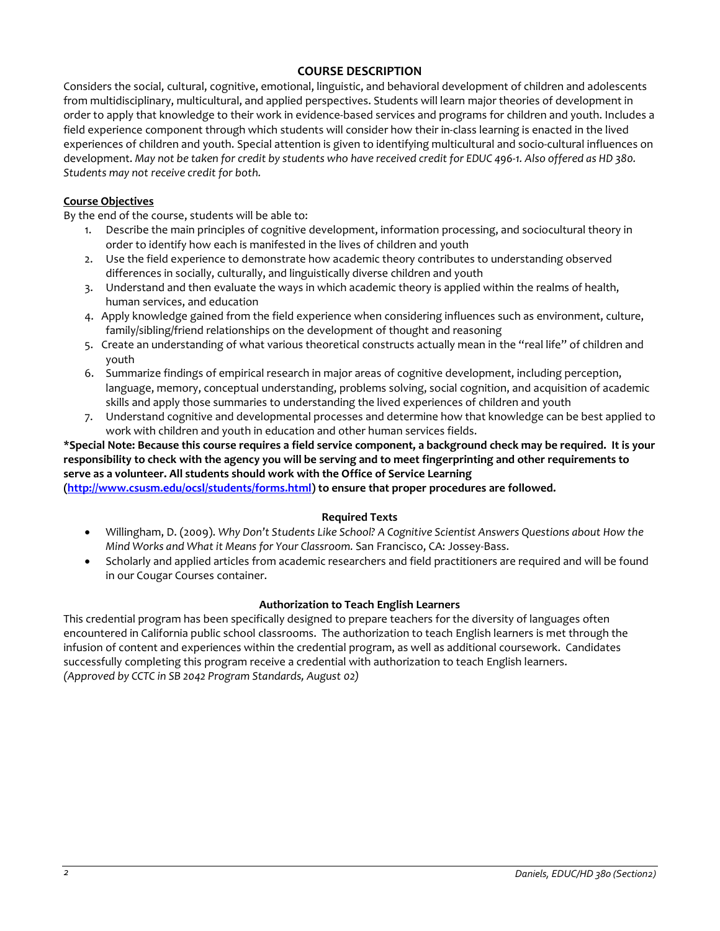# **COURSE DESCRIPTION**

Considers the social, cultural, cognitive, emotional, linguistic, and behavioral development of children and adolescents from multidisciplinary, multicultural, and applied perspectives. Students will learn major theories of development in order to apply that knowledge to their work in evidence-based services and programs for children and youth. Includes a field experience component through which students will consider how their in-class learning is enacted in the lived experiences of children and youth. Special attention is given to identifying multicultural and socio-cultural influences on development. *May not be taken for credit by students who have received credit for EDUC 496-1. Also offered as HD 380. Students may not receive credit for both.*

### **Course Objectives**

By the end of the course, students will be able to:

- 1. Describe the main principles of cognitive development, information processing, and sociocultural theory in order to identify how each is manifested in the lives of children and youth
- 2. Use the field experience to demonstrate how academic theory contributes to understanding observed differences in socially, culturally, and linguistically diverse children and youth
- 3. Understand and then evaluate the ways in which academic theory is applied within the realms of health, human services, and education
- 4. Apply knowledge gained from the field experience when considering influences such as environment, culture, family/sibling/friend relationships on the development of thought and reasoning
- 5. Create an understanding of what various theoretical constructs actually mean in the "real life" of children and youth
- 6. Summarize findings of empirical research in major areas of cognitive development, including perception, language, memory, conceptual understanding, problems solving, social cognition, and acquisition of academic skills and apply those summaries to understanding the lived experiences of children and youth
- 7. Understand cognitive and developmental processes and determine how that knowledge can be best applied to work with children and youth in education and other human services fields.

# **\*Special Note: Because this course requires a field service component, a background check may be required. It is your responsibility to check with the agency you will be serving and to meet fingerprinting and other requirements to serve as a volunteer. All students should work with the Office of Service Learning**

**[\(http://www.csusm.edu/ocsl/students/forms.html\)](http://www.csusm.edu/ocsl/students/forms.html) to ensure that proper procedures are followed.**

# **Required Texts**

- Willingham, D. (2009). *Why Don't Students Like School? A Cognitive Scientist Answers Questions about How the Mind Works and What it Means for Your Classroom.* San Francisco, CA: Jossey-Bass.
- Scholarly and applied articles from academic researchers and field practitioners are required and will be found in our Cougar Courses container.

# **Authorization to Teach English Learners**

This credential program has been specifically designed to prepare teachers for the diversity of languages often encountered in California public school classrooms. The authorization to teach English learners is met through the infusion of content and experiences within the credential program, as well as additional coursework. Candidates successfully completing this program receive a credential with authorization to teach English learners. *(Approved by CCTC in SB 2042 Program Standards, August 02)*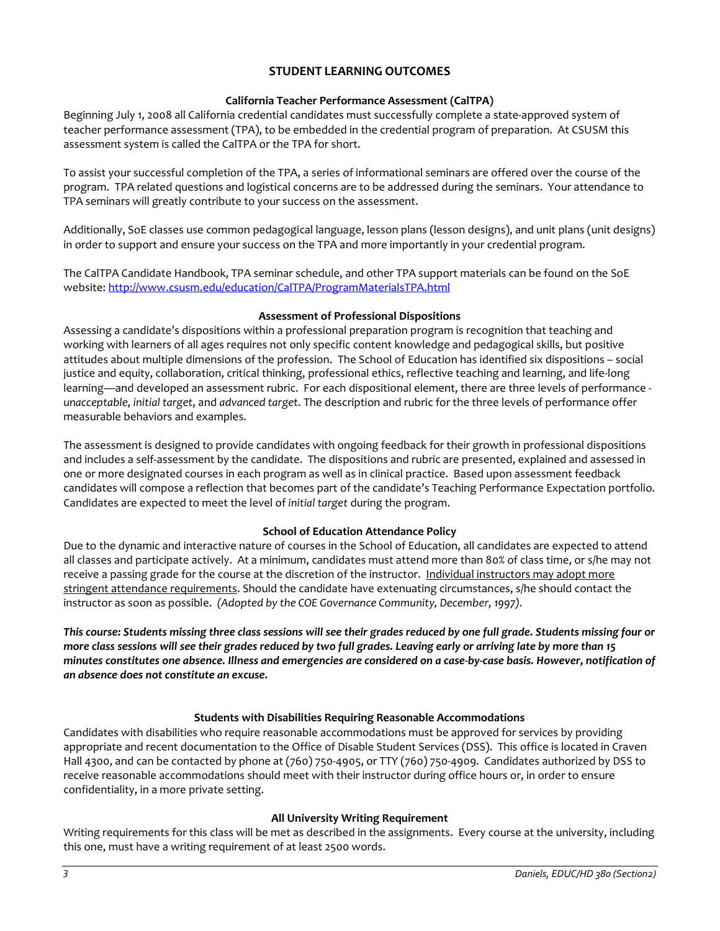# **STUDENT LEARNING OUTCOMES**

## **California Teacher Performance Assessment (CalTPA)**

Beginning July 1, 2008 all California credential candidates must successfully complete a state-approved system of teacher performance assessment (TPA), to be embedded in the credential program of preparation. At CSUSM this assessment system is called the CalTPA or the TPA for short.

To assist your successful completion of the TPA, a series of informational seminars are offered over the course of the program. TPA related questions and logistical concerns are to be addressed during the seminars. Your attendance to TPA seminars will greatly contribute to your success on the assessment.

Additionally, SoE classes use common pedagogical language, lesson plans (lesson designs), and unit plans (unit designs) in order to support and ensure your success on the TPA and more importantly in your credential program.

The CalTPA Candidate Handbook, TPA seminar schedule, and other TPA support materials can be found on the SoE website: <http://www.csusm.edu/education/CalTPA/ProgramMaterialsTPA.html>

### **Assessment of Professional Dispositions**

Assessing a candidate's dispositions within a professional preparation program is recognition that teaching and working with learners of all ages requires not only specific content knowledge and pedagogical skills, but positive attitudes about multiple dimensions of the profession. The School of Education has identified six dispositions – social justice and equity, collaboration, critical thinking, professional ethics, reflective teaching and learning, and life-long learning—and developed an assessment rubric. For each dispositional element, there are three levels of performance *unacceptable*, *initial target*, and *advanced target*. The description and rubric for the three levels of performance offer measurable behaviors and examples.

The assessment is designed to provide candidates with ongoing feedback for their growth in professional dispositions and includes a self-assessment by the candidate. The dispositions and rubric are presented, explained and assessed in one or more designated courses in each program as well as in clinical practice. Based upon assessment feedback candidates will compose a reflection that becomes part of the candidate's Teaching Performance Expectation portfolio. Candidates are expected to meet the level of *initial target* during the program.

# **School of Education Attendance Policy**

Due to the dynamic and interactive nature of courses in the School of Education, all candidates are expected to attend all classes and participate actively. At a minimum, candidates must attend more than 80% of class time, or s/he may not receive a passing grade for the course at the discretion of the instructor. Individual instructors may adopt more stringent attendance requirements. Should the candidate have extenuating circumstances, s/he should contact the instructor as soon as possible. *(Adopted by the COE Governance Community, December, 1997).*

*This course: Students missing three class sessions will see their grades reduced by one full grade. Students missing four or more class sessions will see their grades reduced by two full grades. Leaving early or arriving late by more than 15 minutes constitutes one absence. Illness and emergencies are considered on a case-by-case basis. However, notification of an absence does not constitute an excuse.*

# **Students with Disabilities Requiring Reasonable Accommodations**

Candidates with disabilities who require reasonable accommodations must be approved for services by providing appropriate and recent documentation to the Office of Disable Student Services (DSS). This office is located in Craven Hall 4300, and can be contacted by phone at (760) 750-4905, or TTY (760) 750-4909. Candidates authorized by DSS to receive reasonable accommodations should meet with their instructor during office hours or, in order to ensure confidentiality, in a more private setting.

# **All University Writing Requirement**

Writing requirements for this class will be met as described in the assignments. Every course at the university, including this one, must have a writing requirement of at least 2500 words.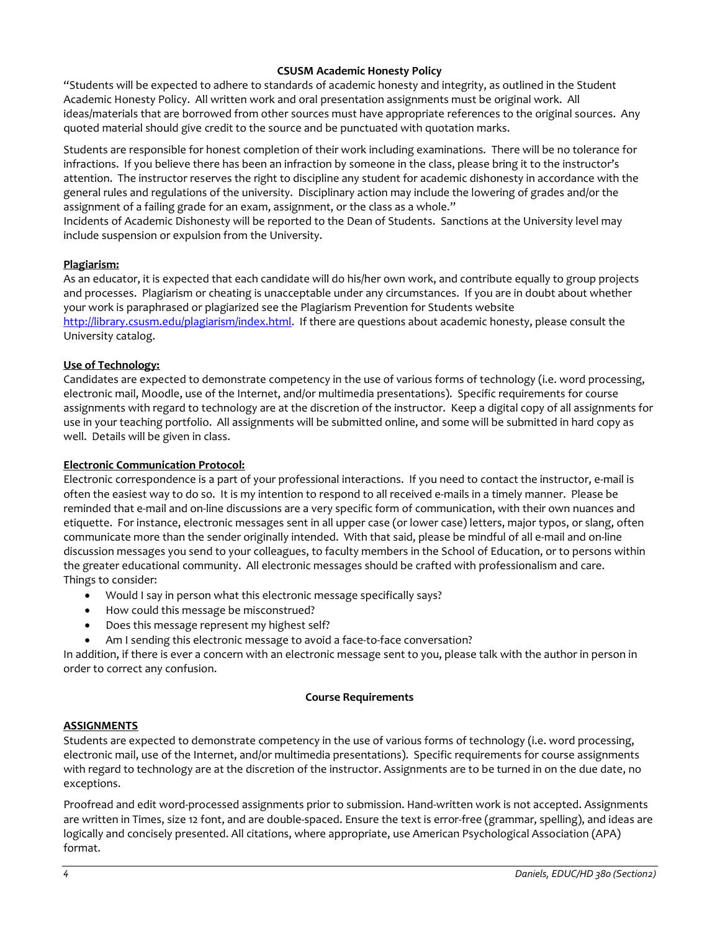## **CSUSM Academic Honesty Policy**

"Students will be expected to adhere to standards of academic honesty and integrity, as outlined in the Student Academic Honesty Policy. All written work and oral presentation assignments must be original work. All ideas/materials that are borrowed from other sources must have appropriate references to the original sources. Any quoted material should give credit to the source and be punctuated with quotation marks.

Students are responsible for honest completion of their work including examinations. There will be no tolerance for infractions. If you believe there has been an infraction by someone in the class, please bring it to the instructor's attention. The instructor reserves the right to discipline any student for academic dishonesty in accordance with the general rules and regulations of the university. Disciplinary action may include the lowering of grades and/or the assignment of a failing grade for an exam, assignment, or the class as a whole."

Incidents of Academic Dishonesty will be reported to the Dean of Students. Sanctions at the University level may include suspension or expulsion from the University.

### **Plagiarism:**

As an educator, it is expected that each candidate will do his/her own work, and contribute equally to group projects and processes. Plagiarism or cheating is unacceptable under any circumstances. If you are in doubt about whether your work is paraphrased or plagiarized see the Plagiarism Prevention for Students website [http://library.csusm.edu/plagiarism/index.html.](http://library.csusm.edu/plagiarism/index.html) If there are questions about academic honesty, please consult the University catalog.

### **Use of Technology:**

Candidates are expected to demonstrate competency in the use of various forms of technology (i.e. word processing, electronic mail, Moodle, use of the Internet, and/or multimedia presentations). Specific requirements for course assignments with regard to technology are at the discretion of the instructor. Keep a digital copy of all assignments for use in your teaching portfolio. All assignments will be submitted online, and some will be submitted in hard copy as well. Details will be given in class.

### **Electronic Communication Protocol:**

Electronic correspondence is a part of your professional interactions. If you need to contact the instructor, e-mail is often the easiest way to do so. It is my intention to respond to all received e-mails in a timely manner. Please be reminded that e-mail and on-line discussions are a very specific form of communication, with their own nuances and etiquette. For instance, electronic messages sent in all upper case (or lower case) letters, major typos, or slang, often communicate more than the sender originally intended. With that said, please be mindful of all e-mail and on-line discussion messages you send to your colleagues, to faculty members in the School of Education, or to persons within the greater educational community. All electronic messages should be crafted with professionalism and care. Things to consider:

- Would I say in person what this electronic message specifically says?
- How could this message be misconstrued?
- Does this message represent my highest self?
- Am I sending this electronic message to avoid a face-to-face conversation?

In addition, if there is ever a concern with an electronic message sent to you, please talk with the author in person in order to correct any confusion.

#### **Course Requirements**

#### **ASSIGNMENTS**

Students are expected to demonstrate competency in the use of various forms of technology (i.e. word processing, electronic mail, use of the Internet, and/or multimedia presentations). Specific requirements for course assignments with regard to technology are at the discretion of the instructor. Assignments are to be turned in on the due date, no exceptions.

Proofread and edit word-processed assignments prior to submission. Hand-written work is not accepted. Assignments are written in Times, size 12 font, and are double-spaced. Ensure the text is error-free (grammar, spelling), and ideas are logically and concisely presented. All citations, where appropriate, use American Psychological Association (APA) format.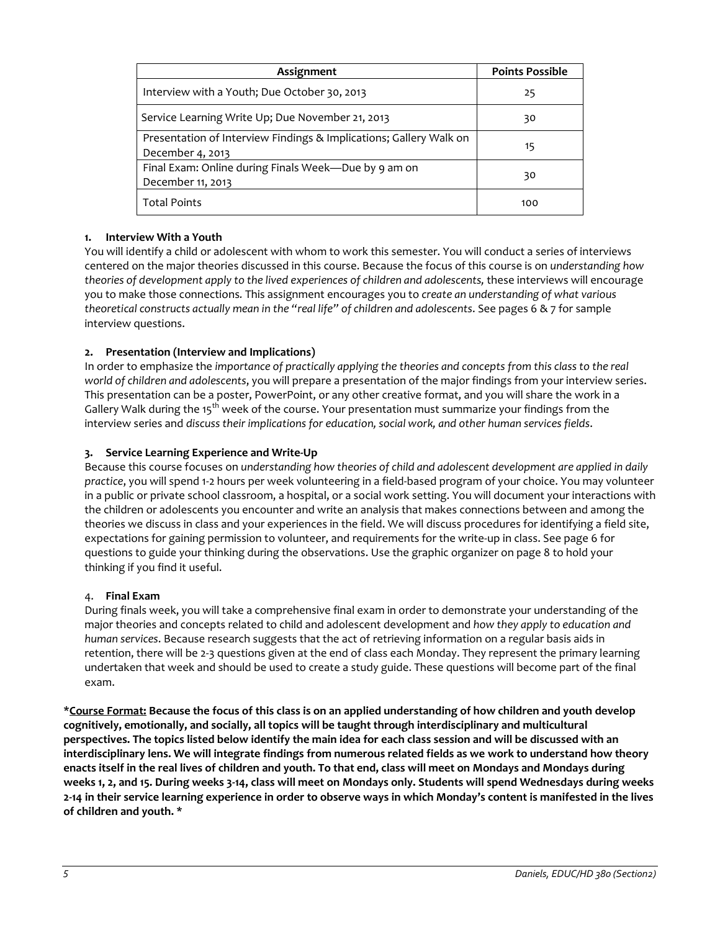| Assignment                                                                             | <b>Points Possible</b> |
|----------------------------------------------------------------------------------------|------------------------|
| Interview with a Youth; Due October 30, 2013                                           | 25                     |
| Service Learning Write Up; Due November 21, 2013                                       | 30                     |
| Presentation of Interview Findings & Implications; Gallery Walk on<br>December 4, 2013 | 15                     |
| Final Exam: Online during Finals Week-Due by 9 am on<br>December 11, 2013              | 30                     |
| <b>Total Points</b>                                                                    | 100                    |

# **1. Interview With a Youth**

You will identify a child or adolescent with whom to work this semester. You will conduct a series of interviews centered on the major theories discussed in this course. Because the focus of this course is on *understanding how theories of development apply to the lived experiences of children and adolescents,* these interviews will encourage you to make those connections*.* This assignment encourages you to *create an understanding of what various theoretical constructs actually mean in the "real life" of children and adolescents*. See pages 6 & 7 for sample interview questions.

# **2. Presentation (Interview and Implications)**

In order to emphasize the *importance of practically applying the theories and concepts from this class to the real world of children and adolescents*, you will prepare a presentation of the major findings from your interview series. This presentation can be a poster, PowerPoint, or any other creative format, and you will share the work in a Gallery Walk during the 15<sup>th</sup> week of the course. Your presentation must summarize your findings from the interview series and *discuss their implications for education, social work, and other human services fields*.

### **3. Service Learning Experience and Write-Up**

Because this course focuses on *understanding how theories of child and adolescent development are applied in daily practice*, you will spend 1-2 hours per week volunteering in a field-based program of your choice. You may volunteer in a public or private school classroom, a hospital, or a social work setting. You will document your interactions with the children or adolescents you encounter and write an analysis that makes connections between and among the theories we discuss in class and your experiences in the field. We will discuss procedures for identifying a field site, expectations for gaining permission to volunteer, and requirements for the write-up in class. See page 6 for questions to guide your thinking during the observations. Use the graphic organizer on page 8 to hold your thinking if you find it useful.

#### 4. **Final Exam**

During finals week, you will take a comprehensive final exam in order to demonstrate your understanding of the major theories and concepts related to child and adolescent development and *how they apply to education and human services*. Because research suggests that the act of retrieving information on a regular basis aids in retention, there will be 2-3 questions given at the end of class each Monday. They represent the primary learning undertaken that week and should be used to create a study guide. These questions will become part of the final exam.

**\*Course Format: Because the focus of this class is on an applied understanding of how children and youth develop cognitively, emotionally, and socially, all topics will be taught through interdisciplinary and multicultural perspectives. The topics listed below identify the main idea for each class session and will be discussed with an interdisciplinary lens. We will integrate findings from numerous related fields as we work to understand how theory enacts itself in the real lives of children and youth. To that end, class will meet on Mondays and Mondays during weeks 1, 2, and 15. During weeks 3-14, class will meet on Mondays only. Students will spend Wednesdays during weeks 2-14 in their service learning experience in order to observe ways in which Monday's content is manifested in the lives of children and youth. \***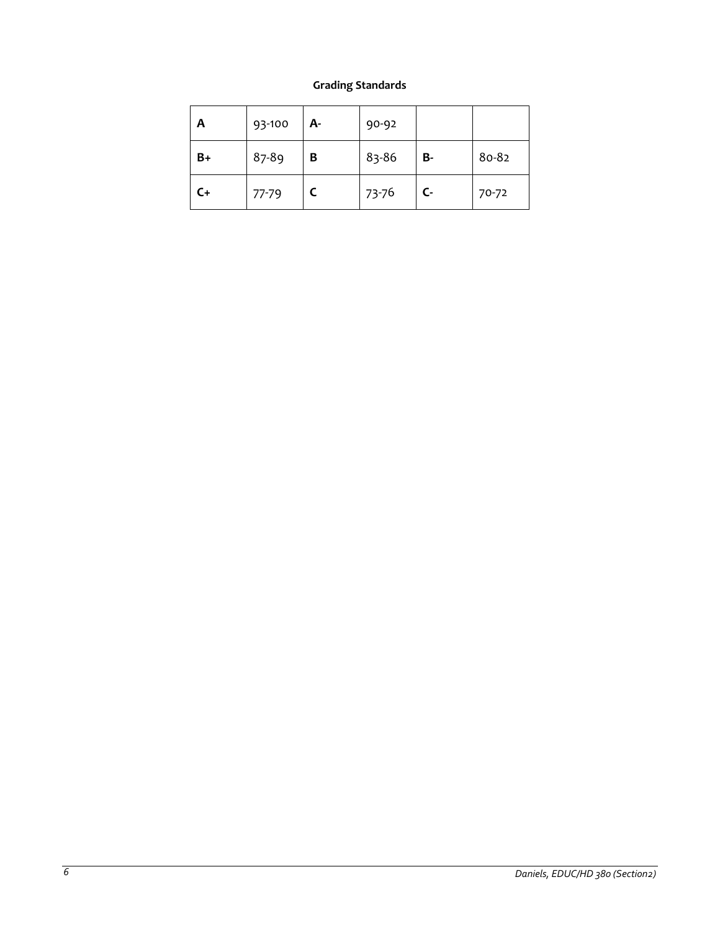# **Grading Standards**

| A    | 93-100 | А- | 90-92 |              |       |
|------|--------|----|-------|--------------|-------|
| $B+$ | 87-89  | В  | 83-86 | <b>B-</b>    | 80-82 |
| $C+$ | 77-79  |    | 73-76 | $\mathsf{C}$ | 70-72 |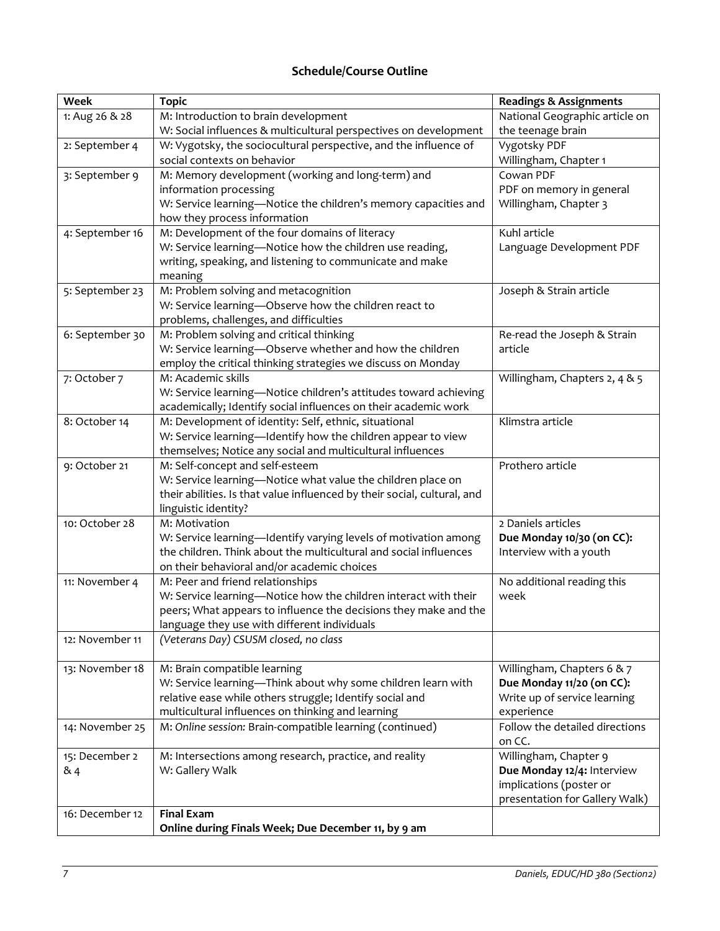# **Schedule/Course Outline**

| <b>Week</b>     | <b>Topic</b>                                                                                        | <b>Readings &amp; Assignments</b>        |
|-----------------|-----------------------------------------------------------------------------------------------------|------------------------------------------|
| 1: Aug 26 & 28  | M: Introduction to brain development                                                                | National Geographic article on           |
|                 | W: Social influences & multicultural perspectives on development                                    | the teenage brain                        |
| 2: September 4  | W: Vygotsky, the sociocultural perspective, and the influence of                                    | Vygotsky PDF                             |
|                 | social contexts on behavior                                                                         | Willingham, Chapter 1                    |
| 3: September 9  | M: Memory development (working and long-term) and                                                   | Cowan PDF                                |
|                 | information processing                                                                              | PDF on memory in general                 |
|                 | W: Service learning-Notice the children's memory capacities and                                     | Willingham, Chapter 3                    |
|                 | how they process information                                                                        |                                          |
| 4: September 16 | M: Development of the four domains of literacy                                                      | Kuhl article                             |
|                 | W: Service learning-Notice how the children use reading,                                            | Language Development PDF                 |
|                 | writing, speaking, and listening to communicate and make                                            |                                          |
|                 | meaning<br>M: Problem solving and metacognition                                                     |                                          |
| 5: September 23 | W: Service learning-Observe how the children react to                                               | Joseph & Strain article                  |
|                 | problems, challenges, and difficulties                                                              |                                          |
| 6: September 30 | M: Problem solving and critical thinking                                                            | Re-read the Joseph & Strain              |
|                 | W: Service learning-Observe whether and how the children                                            | article                                  |
|                 | employ the critical thinking strategies we discuss on Monday                                        |                                          |
| 7: October 7    | M: Academic skills                                                                                  | Willingham, Chapters 2, 4 & 5            |
|                 | W: Service learning-Notice children's attitudes toward achieving                                    |                                          |
|                 | academically; Identify social influences on their academic work                                     |                                          |
| 8: October 14   | M: Development of identity: Self, ethnic, situational                                               | Klimstra article                         |
|                 | W: Service learning-Identify how the children appear to view                                        |                                          |
|                 | themselves; Notice any social and multicultural influences                                          |                                          |
| 9: October 21   | M: Self-concept and self-esteem                                                                     | Prothero article                         |
|                 | W: Service learning-Notice what value the children place on                                         |                                          |
|                 | their abilities. Is that value influenced by their social, cultural, and                            |                                          |
|                 | linguistic identity?                                                                                |                                          |
| 10: October 28  | M: Motivation                                                                                       | 2 Daniels articles                       |
|                 | W: Service learning-Identify varying levels of motivation among                                     | Due Monday 10/30 (on CC):                |
|                 | the children. Think about the multicultural and social influences                                   | Interview with a youth                   |
|                 | on their behavioral and/or academic choices                                                         |                                          |
| 11: November 4  | M: Peer and friend relationships<br>W: Service learning-Notice how the children interact with their | No additional reading this<br>week       |
|                 | peers; What appears to influence the decisions they make and the                                    |                                          |
|                 | language they use with different individuals                                                        |                                          |
| 12: November 11 | (Veterans Day) CSUSM closed, no class                                                               |                                          |
|                 |                                                                                                     |                                          |
| 13: November 18 | M: Brain compatible learning                                                                        | Willingham, Chapters 6 & 7               |
|                 | W: Service learning-Think about why some children learn with                                        | Due Monday 11/20 (on CC):                |
|                 | relative ease while others struggle; Identify social and                                            | Write up of service learning             |
|                 | multicultural influences on thinking and learning                                                   | experience                               |
| 14: November 25 | M: Online session: Brain-compatible learning (continued)                                            | Follow the detailed directions<br>on CC. |
| 15: December 2  | M: Intersections among research, practice, and reality                                              | Willingham, Chapter 9                    |
| & 4             | W: Gallery Walk                                                                                     | Due Monday 12/4: Interview               |
|                 |                                                                                                     | implications (poster or                  |
|                 |                                                                                                     | presentation for Gallery Walk)           |
| 16: December 12 | <b>Final Exam</b>                                                                                   |                                          |
|                 | Online during Finals Week; Due December 11, by 9 am                                                 |                                          |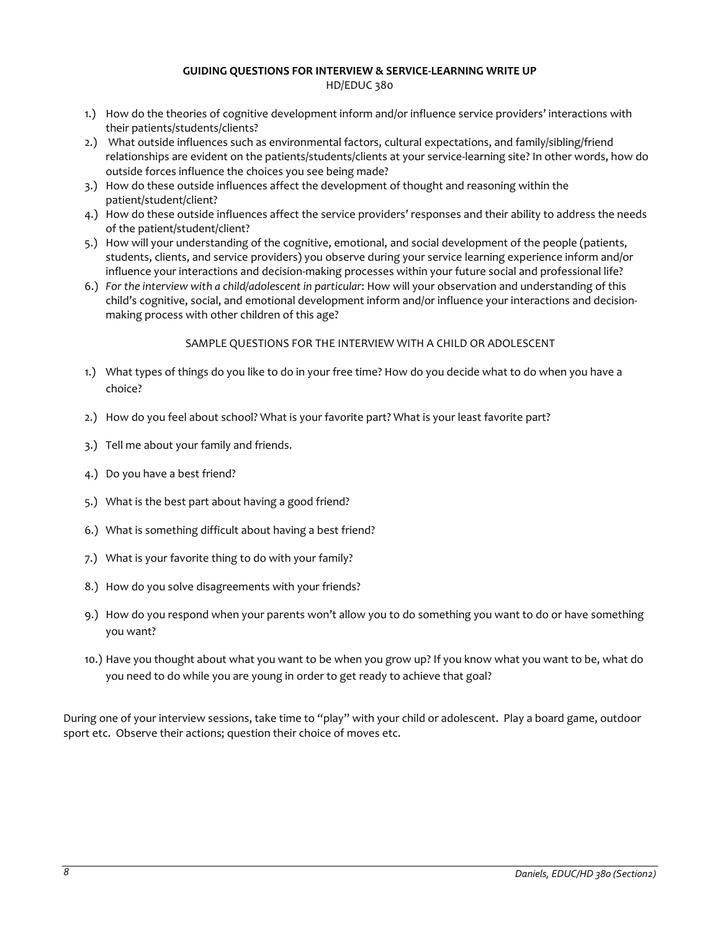# **GUIDING QUESTIONS FOR INTERVIEW & SERVICE-LEARNING WRITE UP**

HD/EDUC 380

- 1.) How do the theories of cognitive development inform and/or influence service providers' interactions with their patients/students/clients?
- 2.) What outside influences such as environmental factors, cultural expectations, and family/sibling/friend relationships are evident on the patients/students/clients at your service-learning site? In other words, how do outside forces influence the choices you see being made?
- 3.) How do these outside influences affect the development of thought and reasoning within the patient/student/client?
- 4.) How do these outside influences affect the service providers' responses and their ability to address the needs of the patient/student/client?
- 5.) How will your understanding of the cognitive, emotional, and social development of the people (patients, students, clients, and service providers) you observe during your service learning experience inform and/or influence your interactions and decision-making processes within your future social and professional life?
- 6.) *For the interview with a child/adolescent in particular*: How will your observation and understanding of this child's cognitive, social, and emotional development inform and/or influence your interactions and decisionmaking process with other children of this age?

# SAMPLE QUESTIONS FOR THE INTERVIEW WITH A CHILD OR ADOLESCENT

- 1.) What types of things do you like to do in your free time? How do you decide what to do when you have a choice?
- 2.) How do you feel about school? What is your favorite part? What is your least favorite part?
- 3.) Tell me about your family and friends.
- 4.) Do you have a best friend?
- 5.) What is the best part about having a good friend?
- 6.) What is something difficult about having a best friend?
- 7.) What is your favorite thing to do with your family?
- 8.) How do you solve disagreements with your friends?
- 9.) How do you respond when your parents won't allow you to do something you want to do or have something you want?
- 10.) Have you thought about what you want to be when you grow up? If you know what you want to be, what do you need to do while you are young in order to get ready to achieve that goal?

During one of your interview sessions, take time to "play" with your child or adolescent. Play a board game, outdoor sport etc. Observe their actions; question their choice of moves etc.